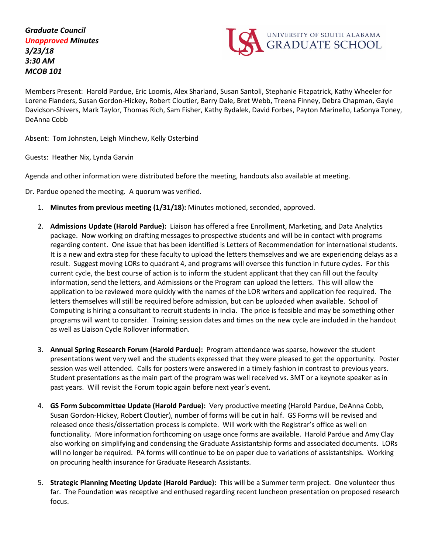

Members Present: Harold Pardue, Eric Loomis, Alex Sharland, Susan Santoli, Stephanie Fitzpatrick, Kathy Wheeler for Lorene Flanders, Susan Gordon-Hickey, Robert Cloutier, Barry Dale, Bret Webb, Treena Finney, Debra Chapman, Gayle Davidson-Shivers, Mark Taylor, Thomas Rich, Sam Fisher, Kathy Bydalek, David Forbes, Payton Marinello, LaSonya Toney, DeAnna Cobb

Absent: Tom Johnsten, Leigh Minchew, Kelly Osterbind

Guests: Heather Nix, Lynda Garvin

Agenda and other information were distributed before the meeting, handouts also available at meeting.

Dr. Pardue opened the meeting. A quorum was verified.

- 1. **Minutes from previous meeting (1/31/18):** Minutes motioned, seconded, approved.
- 2. **Admissions Update (Harold Pardue):** Liaison has offered a free Enrollment, Marketing, and Data Analytics package. Now working on drafting messages to prospective students and will be in contact with programs regarding content. One issue that has been identified is Letters of Recommendation for international students. It is a new and extra step for these faculty to upload the letters themselves and we are experiencing delays as a result. Suggest moving LORs to quadrant 4, and programs will oversee this function in future cycles. For this current cycle, the best course of action is to inform the student applicant that they can fill out the faculty information, send the letters, and Admissions or the Program can upload the letters. This will allow the application to be reviewed more quickly with the names of the LOR writers and application fee required. The letters themselves will still be required before admission, but can be uploaded when available. School of Computing is hiring a consultant to recruit students in India. The price is feasible and may be something other programs will want to consider. Training session dates and times on the new cycle are included in the handout as well as Liaison Cycle Rollover information.
- 3. **Annual Spring Research Forum (Harold Pardue):** Program attendance was sparse, however the student presentations went very well and the students expressed that they were pleased to get the opportunity. Poster session was well attended. Calls for posters were answered in a timely fashion in contrast to previous years. Student presentations as the main part of the program was well received vs. 3MT or a keynote speaker as in past years. Will revisit the Forum topic again before next year's event.
- 4. **GS Form Subcommittee Update (Harold Pardue):** Very productive meeting (Harold Pardue, DeAnna Cobb, Susan Gordon-Hickey, Robert Cloutier), number of forms will be cut in half. GS Forms will be revised and released once thesis/dissertation process is complete. Will work with the Registrar's office as well on functionality. More information forthcoming on usage once forms are available. Harold Pardue and Amy Clay also working on simplifying and condensing the Graduate Assistantship forms and associated documents. LORs will no longer be required. PA forms will continue to be on paper due to variations of assistantships. Working on procuring health insurance for Graduate Research Assistants.
- 5. **Strategic Planning Meeting Update (Harold Pardue):** This will be a Summer term project. One volunteer thus far. The Foundation was receptive and enthused regarding recent luncheon presentation on proposed research focus.